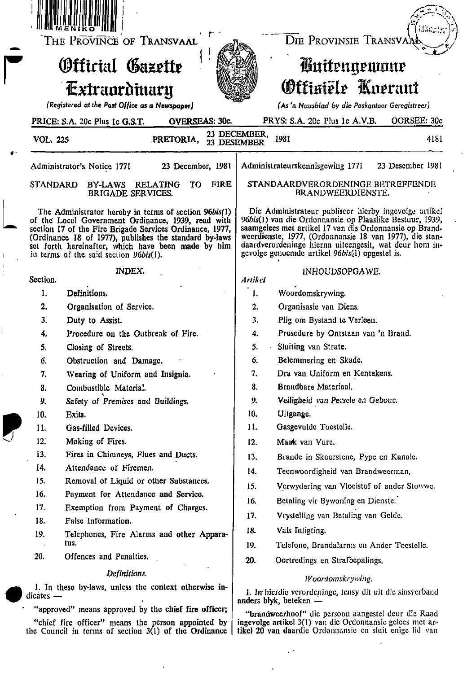|                                                                                                               | THE PROVINCE OF TRANSVAAL                                                                                                                                                                                                                                                                                                         | DIE PROVINSIE TRANSVA                                                                                                                                                                                                                                                                                                                               |
|---------------------------------------------------------------------------------------------------------------|-----------------------------------------------------------------------------------------------------------------------------------------------------------------------------------------------------------------------------------------------------------------------------------------------------------------------------------|-----------------------------------------------------------------------------------------------------------------------------------------------------------------------------------------------------------------------------------------------------------------------------------------------------------------------------------------------------|
|                                                                                                               | <b>Official Gazette</b>                                                                                                                                                                                                                                                                                                           | <b>Cuitengewoue</b>                                                                                                                                                                                                                                                                                                                                 |
|                                                                                                               | Extraordinary                                                                                                                                                                                                                                                                                                                     | Officiële Knerant                                                                                                                                                                                                                                                                                                                                   |
|                                                                                                               | (Registered at the Post Office as a Newspaper)                                                                                                                                                                                                                                                                                    | (As 'n Nuusblad by die Poskantoor Geregistreer)                                                                                                                                                                                                                                                                                                     |
|                                                                                                               | PRICE: S.A. 20c Plus 1c G.S.T.<br><b>OVERSEAS: 30c.</b>                                                                                                                                                                                                                                                                           | PRYS: S.A. 20c Plus 1c A.V.B.<br>OORSEE: 30c                                                                                                                                                                                                                                                                                                        |
| <b>VOL. 225</b>                                                                                               | PRETORIA,                                                                                                                                                                                                                                                                                                                         | 23 DECEMBER,<br>1981<br>4181<br>23 DESEMBER                                                                                                                                                                                                                                                                                                         |
|                                                                                                               | 23 December, 1981<br>Administrator's Notice 1771                                                                                                                                                                                                                                                                                  | Administrateurskennisgewing 1771<br>23 Desember 1981                                                                                                                                                                                                                                                                                                |
| <b>STANDARD</b>                                                                                               | <b>FIRE</b><br>BY-LAWS RELATING<br>TO.<br><b>BRIGADE SERVICES.</b>                                                                                                                                                                                                                                                                | STANDAARDVERORDENINGE BETREFFENDE<br>BRANDWEERDIENSTE.                                                                                                                                                                                                                                                                                              |
|                                                                                                               | The Administrator hereby in terms of section 96bis(1)<br>of the Local Government Ordinance, 1939, read with<br>section 17 of the Fire Brigade Services Ordinance, 1977,<br>(Ordinance 18 of 1977), publishes the standard by-laws<br>set forth hereinafter, which have been made by him<br>in terms of the said section 96bis(1). | Die Administrateur publiseer hierby ingevolge artikel<br>96bis(1) van die Ordonnansie op Plaaslike Bestuur, 1939,<br>saamgelees met artikel 17 van die Ordonnansie op Brand-<br>weerdienste, 1977, (Ordonnansie 18 van 1977), die stan-<br>daardverordeninge hierna uiteengesit, wat deur hom in-<br>gevolge genoemde artikel 96bis(1) opgestel is. |
| Section.                                                                                                      | <b>INDEX.</b>                                                                                                                                                                                                                                                                                                                     | INHOUDSOPGAWE.<br>Artikel                                                                                                                                                                                                                                                                                                                           |
| 1.                                                                                                            | Definitions.                                                                                                                                                                                                                                                                                                                      | Woordomskrywing.<br>1.                                                                                                                                                                                                                                                                                                                              |
| 2.                                                                                                            | Organisation of Service.                                                                                                                                                                                                                                                                                                          | Organisasie van Diens,<br>2.                                                                                                                                                                                                                                                                                                                        |
| 3.                                                                                                            | Duty to Assist.                                                                                                                                                                                                                                                                                                                   | 3.<br>Plig om Bystand te Verleen.                                                                                                                                                                                                                                                                                                                   |
| 4.                                                                                                            | Procedure on the Outbreak of Fire.                                                                                                                                                                                                                                                                                                | Prosedure by Ontstaan van 'n Brand.<br>4.                                                                                                                                                                                                                                                                                                           |
| 5.                                                                                                            | Closing of Streets.                                                                                                                                                                                                                                                                                                               | 5.<br>Sluiting van Strate.                                                                                                                                                                                                                                                                                                                          |
| 6.                                                                                                            | Obstruction and Damage.                                                                                                                                                                                                                                                                                                           | 6.<br>Belemmering en Skade.                                                                                                                                                                                                                                                                                                                         |
| 7.                                                                                                            | Wearing of Uniform and Insignia.                                                                                                                                                                                                                                                                                                  | Dra van Uniform en Kentekens.<br>7.                                                                                                                                                                                                                                                                                                                 |
| 8.                                                                                                            | Combustible Material.                                                                                                                                                                                                                                                                                                             | 8.<br>Brandbare Materiaal.                                                                                                                                                                                                                                                                                                                          |
| 9.                                                                                                            | Safety of Premises and Buildings.                                                                                                                                                                                                                                                                                                 | Veiligheid van Persele en Geboue.<br>9.                                                                                                                                                                                                                                                                                                             |
| 10.                                                                                                           | Exits.                                                                                                                                                                                                                                                                                                                            | 10.<br>Uitgange.                                                                                                                                                                                                                                                                                                                                    |
| 11.                                                                                                           | Gas-filled Devices.                                                                                                                                                                                                                                                                                                               | 11.<br>Gasgevulde Toestelle.                                                                                                                                                                                                                                                                                                                        |
| 12.                                                                                                           | Making of Fires.                                                                                                                                                                                                                                                                                                                  | Maak van Vure.<br>12.                                                                                                                                                                                                                                                                                                                               |
| 13.                                                                                                           | Fires in Chimneys, Flues and Ducts.                                                                                                                                                                                                                                                                                               | 13.<br>Brande in Skoorstene, Pype en Kanale.                                                                                                                                                                                                                                                                                                        |
| 14.                                                                                                           | Attendance of Firemen.                                                                                                                                                                                                                                                                                                            | 14.<br>Teenwoordigheid van Brandweerman.                                                                                                                                                                                                                                                                                                            |
| 15.                                                                                                           | Removal of Liquid or other Substances.                                                                                                                                                                                                                                                                                            | 15.<br>Verwydering van Vloeistof of ander Stowwe.                                                                                                                                                                                                                                                                                                   |
| 16.                                                                                                           | Payment for Attendance and Service.                                                                                                                                                                                                                                                                                               | Betaling vir Bywoning en Dienste.<br>16.                                                                                                                                                                                                                                                                                                            |
| 17.                                                                                                           | Exemption from Payment of Charges.                                                                                                                                                                                                                                                                                                | Vrystelling van Betaling van Gelde.<br>17.                                                                                                                                                                                                                                                                                                          |
| 18.                                                                                                           | False Information.                                                                                                                                                                                                                                                                                                                | 18.<br>Vals Inligting.                                                                                                                                                                                                                                                                                                                              |
| 19.                                                                                                           | Telephones, Fire Alarms and other Appara-<br>tus.                                                                                                                                                                                                                                                                                 | Telefone, Brandalarms en Ander Toestelle.<br>19.                                                                                                                                                                                                                                                                                                    |
| 20.                                                                                                           | Offences and Penalties.                                                                                                                                                                                                                                                                                                           | Oortredings en Strafbepalings.<br>20.                                                                                                                                                                                                                                                                                                               |
|                                                                                                               | Definitions.                                                                                                                                                                                                                                                                                                                      |                                                                                                                                                                                                                                                                                                                                                     |
| 1. In these by-laws, unless the context otherwise in-                                                         |                                                                                                                                                                                                                                                                                                                                   | Woordomskrywing.                                                                                                                                                                                                                                                                                                                                    |
| $dicates$ —                                                                                                   |                                                                                                                                                                                                                                                                                                                                   | 1. In hierdie verordeninge, tensy dit uit die sinsverband<br>anders blyk, beteken $-$                                                                                                                                                                                                                                                               |
|                                                                                                               | "approved" means approved by the chief fire officer;                                                                                                                                                                                                                                                                              | "brandweerhoof" die persoon aangestel deur die Raad                                                                                                                                                                                                                                                                                                 |
| "chief fire officer" means the person appointed by<br>the Council in terms of section $3(1)$ of the Ordinance |                                                                                                                                                                                                                                                                                                                                   | ingevolge artikel 3(1) van die Ordonnansie gelees met ar-<br>tikel 20 van daardie Ordonnansie en sluit enige lid van                                                                                                                                                                                                                                |

 $\epsilon$ 

 $\mathcal{A}$ 

 $\sim 15$ 

 $\omega_{\rm c}$ 

 $\overline{\phantom{a}}$ 

 $\bullet$ 

 $\parallel$  $\begin{array}{c} 1 \\ 1 \\ 1 \end{array}$ 

 $\mathbf{r}$ 

 $\hat{\mathbf{I}}$ 

 $\bigcup$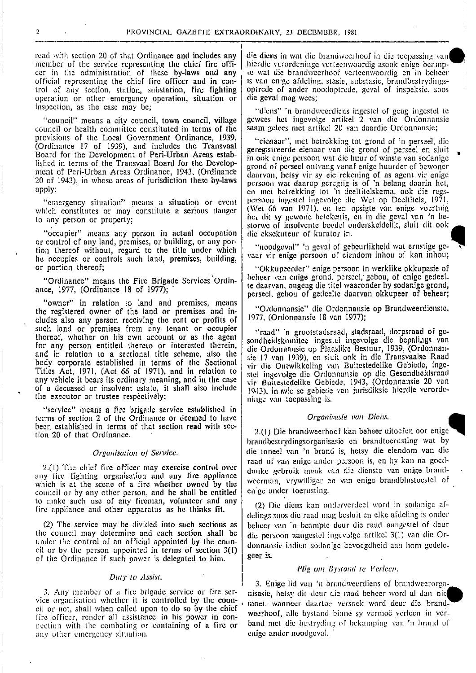read with section 20 of that Ordinance and includes any member of the service representing the chief fire officer in the administration of these by-laws and any official representing the chief fire officer and in control of any section, station, substation, fire fighting operation or other emergency operation, situation or inspection, as the case may be;

"council" means a city council, town council, village council or health committee constituted in terms of the provisions of the Local Government Ordinance, 1939, (Ordinance 17 of 1939), and includes the Transvaal Board for the Development of Peri-Urban Areas established in terms of the Transvaal Board for the Development of Peri-Urban Areas Ordinance, 1943, (Ordinance 20 of 1943). in whose areas of jurisdiction these by-laws apply:

'emergency situation" means a situation or event which constitutes or may constitute a serious danger to any person or property;

"occupier" means any person in actual occupation or control of any land, premises, or building, or any portion thereof without, regard to the title under which he occupies or controls such land, premises, building, or portion thereof;

"Ordinance" means the Fire Brigade Services Ordinance, 1977, (Ordinance 18 of 1977);

"owner" in relation to land and premises, means the registered owner of the land or premises and includes also any person receiving the rent or profits of such land or premises from any tenant or occupier thereof, whether on his own account or as the agent for any person entitled thereto or interested therein, and in relation to a sectional title scheme, also the body corporate established in terms of the Sectional Titles Act, 1971, (Act 66 of 1971), and in relation to any vehicle it bears its ordinary meaning, and in the case of a deceased or insolvent estate, it shall also include the executor or trustee respectively;

"service" means a fire brigade service established in terms of section 2 of the Ordinance or deemed to have been established in terms of that section read with section 20 of that Ordinance.

### Organisation of Service.

2.(1) The chief fire officer may exercise control over any fire fighting organisation and any fire appliance which is at the scene of a fire whether owned by the council or by any other person, and he shall be entitled to make such use of any fireman, volunteer and any fire appliance and other apparatus as he thinks fit.

(2) The service may be divided into such sections as the council may determine and each section shall be under the control of an official appointed by the council or by the person appointed in terms of section 3(1) of the Ordinance if such power is delegated to him.

### Duty to Assist.

3. Any member of a fire brigade service or fire service organisation whether it is controlled by the council or not, shall when called upon to do so by the chief fire officer, render all assistance in his power in connection with the combating or containing of a fire or any other emergency situation.

die diens in wat die brandweerhoof in die toepassing van hierdie verordeninge verteenwoordig asook enige beampte wat die brandweerhoof verteenwoordig en in beheer is van en'ge afdeling, stasie, substasie, brandbestrydingsoptrede of ander noodoptrede, geval of inspeksie, soos die geval mag wees:

"diens" 'n brandweerdiens ingestel of geag ingestel te gewees het ingevolge artikel  $\overline{2}$  van die Ordonnansie saam gelees met artikel 20 van daardie Ordonnansie;

"eienaar", met betrekking tot grond of 'n perseel, die geregistreerde eienaar van die grond of perseel en sluit in ook enige persoon wat die huur of winste van sodanige grond of perseel ontvang vanaf enige huurder of bewoner daarvan, hetsy vir sy eie rekening of as agent vir enige persoon wat daarop geregtig is of 'n belang daarin het, en met betrekking tot 'n deeltitelskema, ook die regspersoon ingestel ingevolge die Wet op Deeltitels, 1971, (Wet 66 van 1971), en ten opsigte van enige voertuig het dit sy gewone betekenis, en in die geval van 'n bestorwe of insolvente boedel onderskeidelik, sluit dit ook die eksekuteur of kurator in.

"noodgeval" 'n geval of gebeurlikheid wat ernstige gevaar vir enige persoon of eiendom inhou of kan inhou;

'Okkupeerder'' enige persoon in werklike okkupasie of beheer van enige grond. perseel, gebou, of enige gedeelte daarvan, ongeag die titel waaronder hy sodanige grond, perseel, gebou of gedeelte daarvan okkupeer of beheer;

'Ordonnansic" die Ordonnansie op Brandweerdienste, 1977, (Ordonnansie 18 van 1977);

'raad'' 'n grootstadsraad, stadsraad, dorpsraad of gesondheidskomitee ingestel ingevolge die bepalings van die Ordonnansie op Plaaslike Bestuur, 1939, (Ordonnansie 17 van 1939), en sluit ook in die Transvaalse Raad vir die Ontwikkeling van Buitestedelike Gebiede, ingestel ingevolge die Ordonnansie op die Gesondheidsraad vir Buitestedelike Gebiede, 1943, (Ordonnansie 20 van 1943), in avie se gebiede van jurisdiksie hierdie verordeninge van toepassing is.

### Organisasie van Diens.

2.(1) Die brandweerhoof kan beheer uitoefen oor enige brandbestrydingsorganisasic en brandtoerusting wat by die toneel van 'n brand is, hetsy die eiendom van die raad of van enige ander persoon is, en hy kan na goeddunke gebruik maak van die dienste van enige brandweerman, vrywilliger en van enige brandblustoestel of en'ge ander toerusting.

(2) Die diens kan onderverdeel word in sodanige afdelings soos die raad mag besluit en elke afdeling is onder beheer van 'n beampte deur die raad aangestel of deur die persoon aangestel ingevolge artikel 3(1) van die Ordonnansie indien sodanige bevoegdheid aan hom gedelegeer is.

### Plig om Bystand te Verleen.

3. Enige lid van 'n brandweerdiens of brandweerorganisasie, hetsy dit deur die raad beheer word al dan nie moet, wanneer daartoe versoek word deur die brandweerhoof, alle bystand binne sy vermoë verleen in verband met die bestryding of bekamping van 'n brand of enige ander noodgeval.

 $\overline{2}$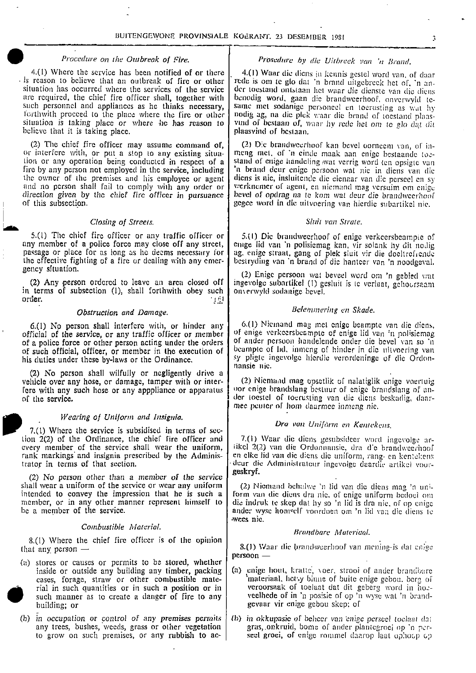. .

. .

•

**•** 

4.(1) Where the service has been notified of or there  $\begin{bmatrix} 4.1 \end{bmatrix}$  Waar die diens in kennis gestel word van, of daar . is reason to believe that an outbreak of fire or other is reason to believe that an outbreak of fire or other  $\vert$  rede is om te glo dat 'n brand uitgebreek het of, 'n an-<br>situation has occurred where the services of the service  $\vert$  der toestand ontstaan het waar die dienste situation has occurred where the services of the service der toestand ontstaan het waar die dienste van die diens<br>are required, the chief fire officer shall, together with benodig word, gaan die brandweerhoof, onverwyld te are required, the chief fire officer shall, together with benodig word, gaan die brandweerhoof, onverwyld te-<br>such personnel and appliances as he thinks necessary, same met sodanige personeel en toerusting as wat hy forthwith proceed to the place where the fire or other nodig ag, na die plek waar die brand of toestand place is situation is taking place or where the has reason to vund of bestaan of waar hy rede het om to plo dat dit believe that it is taking place.

(2) The chief fire officer may assume command of, (2) Die brandweerhoof kan bevel oorneem van, of in-<br>or interfere with, or put a stop to any existing situa-<br>meng met, of 'n einde maak aan enige bestaande toetion or any operation being conducted in respect of a fire by any person not employed in the service, including fire by any person not employed in the service, including in brand deur enige persoon wat nie in diens van die<br>the owner of the premises and his employee or agent diens is nie, insluitende die eienaar van die perseel en sy the owner of the premises and his employee or agent diens is nie, insluitende die eienaar van die perseel en sy and no person shall fail to comply with any order or verknemer of agent, en niemand mag versuim om enige and no person shall fail to comply with any order or werknemer of agent, en niemand mag versuim om enige direction of the chief fire officer in pursuance beard of opdrag na te kom wat deur die brandweerhoof of this subsection. The contract of this subsection. General subartikel nie.

# Closing of Streets.<br>
Sluit van Strate.<br>
Sluit van Strate.

5.(1) The chief fire officer or any traffic officer or  $\begin{bmatrix} 5.1$  Die brandweerhoof of enige verkeersbeampie of any member of a police force may close off any street, emige lid van 'n polisiemag kan, vir solank hy dit n passage or place for as long as he deems necessary for the effective fighting of a fire or dealing with any emerthe effective fighting of a fire or dealing with any emer- bestryding van 'n brand of die hanteer van 'n noodgeval.<br>genev situation.

in terms of subsection (1), shall forthwith obey such order. j .i <sup>I</sup>

of a police force or other person acting under the orders | of ander persoon handelende onder die bevel van so 'n

(2) No person shall wilfully or negligently drive <sup>a</sup> vehicle over any hose, or damage, tamper with or inter- (2) Niemand mag opsetlik of nalatiglik enige voertuig<br>fore with any such hose or any apppliance or apparatus vor enige brandslang bestuur of enige brandslang of anof the service. der ioestel of toerusting van die (liens beskadig, dear-

### Wearing of Uniform and Insignia.

1. 7.(t) Where the service is subsidised in terms of sec- tionDra van Uniform en Kentekens.

(2) No person other than a member of the service shall wear a uniform of the service or wear any uniform intended to convey the impression that he is such a member, or in any other manner represent himself to

# Combustible Material. Brandbarc Materiaal.

8.(I) Where the chief fire officer is of the opinion that any person —

- (a) stores or causes or permits to be stored, whether inside or outside any building any timber, packing  $\blacksquare$ building; or gevaar vir enige gebou skep; of
	- (b) in occupation or control of any premises permits  $\vert$  (b) in okkupasic of beheer van enige perseel toelaat dat any trees, bushes, weeds, grass or other vegetation gras, onkruid, bome of ander plantegroei op 'n perany trees, bushes, weeds, grass or other vegetation to grow on such premises, or any rubbish to ac-

# Procedure on the Outbreak of Fire.  $\vert$  Prosedure by die Uitbreek van 'n Brand.

•

vind of bestaan of, waar hy rede het om to glo dat dit plaasvind of bestaan.

meng met, of 'n einde maak aan enige bestaande toe-<br>stand of enige handeling wat verrig word ten opsigte van bevel of opdrag na to kom wat deur die brandweerhoof

emge lid van 'n polisiemag kan, vir solank hy dit nodig ag, enige straat, gang of plek sluit vir die doeltrefrende

gent wat beveel word om 'n gebied wat.<br>(2) Any person ordered to leave an area closed of  $\int$  ingevolge subartikel (1) gesluit is te verlant, gehoersaam ingevolge subartikel (1) gesluit is te verlaat, gehoorsaam<br>onverwyld sodanige bevel.

# Obstruction and Damage. **Belemmering en Skade.**

6.(1) No person shall interfere with, or hinder any  $\begin{bmatrix} 6.1 \end{bmatrix}$  Niemand mag met enige beampte van die diens, official of the service, or any traffic officer or member  $\begin{bmatrix} 6.1 \end{bmatrix}$  of enige verkeersbeampte of of enige verkeersbeampte of enige lid van 'n polisiemag of such official, officer, or member in the execution of beampte of lid, inmeng of hinder in die nitvoering van his duties under these by-laws or the Ordinance. sy pligte ingevolge hierdie verordeninge of die Ordonnansie nie.

> oor enige brandslang bestuur of enige brandslang of anmee peuter of hom daarmee inmeng nie.

7.(1) Waar die diens gesubsideer word ingevolge arevery member of the service shall wear the uniform, it ikel 2(2) van die Ordonnansie, dra die brandweerhoof rank markings and insignia prescribed by the Adminis- en clke lid van die diens die uniform, rang- en kentekens en elke lid van die diens die uniform, rang- en kentekens trator in terms of that section.  $\vert$  deur die Administrateur ingevolge daardie artikel voorgeskryf.

(2) Niemand behalwe 'n lid van die diens mag 'n uniform van die diens dra nie, of enige uniform bedoel om member, or in any other manner represent himself to die indruk te skep dat hy so 'n lid is dra nie, of op enige<br>be a member of the service. ander wyse homself voordoen om 'n lid van die diens ie wees nie.

persoon —

- (a) enige hout, kratte, voer, strooi of ander brandbare cases, forage, straw or other combustible mate- | 'materiaal. hetsy binne of buite enige gebou. berg of rial in such quantities or in such a position or in  $\vert$  veroorsaak of toelaat dat dit geberg word in hoesuch manner as to create a danger of fire to any veelhede of in 'n posisie of op 'n wyse wat 'n brand
	- seel groei, of enige rommel daarop laat ophocp cp

 $\frac{1}{2}$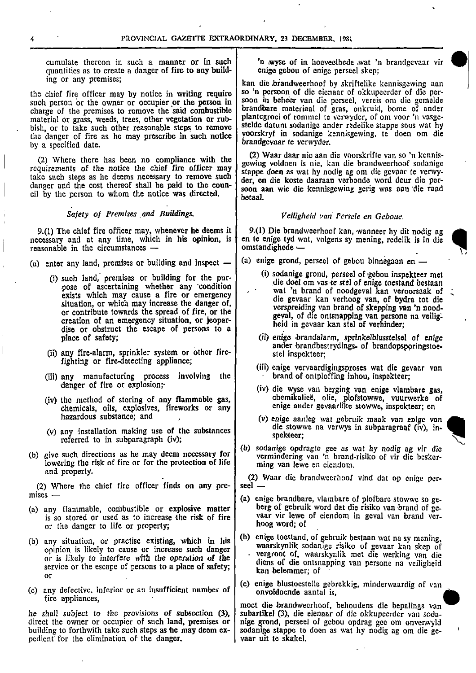PROVINCIAL GAZETTE EXTRAORDINARY, 23 DECEMBER, 1981<br>cumulate thereon in such a manner or in such 'n wyse of in hoeveelhede wat 'n brandgevaar vir quantities as to create a danger of fire to any buildcumulate thereon in such a manner or in such  $\begin{bmatrix} \cdot & \cdot & \cdot \\ \cdot & \cdot & \cdot \\ \cdot & \cdot & \cdot \\ \cdot & \cdot & \cdot \\ \cdot & \cdot & \cdot \\ \cdot & \cdot & \cdot \\ \cdot & \cdot & \cdot \\ \cdot & \cdot & \cdot \\ \cdot & \cdot & \cdot \\ \cdot & \cdot & \cdot \\ \cdot & \cdot & \cdot \\ \cdot & \cdot & \cdot \\ \cdot & \cdot & \cdot \\ \cdot & \cdot & \cdot \\ \cdot & \cdot & \cdot \\ \cdot & \cdot & \cdot \\ \cdot & \cdot & \cdot \\ \cdot & \cdot & \cdot \\ \cdot & \cdot & \$ 

such person or the owner or occupier or the person in soon in behecr van die perseel, vereis om die gemelde<br>charge of the premises to remove the said combustible brandbare materiaal of gras, onkruid, bome of ander charge of the premises to remove the said combustible material or grass, weeds, trees, other vegetation or rubbish, or to take such other reasonable steps to remove the danger of fire as he may prescribe in such notice the danger of fire as he may prescribe in such notice voorskryf in sodanige kennisgewing, te doen om die by a specified date.

requirements of the notice the chief fire officer may der and the cost thereof shall be paid to the coun-<br>danger and the cost thereof shall be paid to the coun-<br>danger and the cost thereof shall be paid to the countake such steps as he deems necessary to remove such danger and the cost thereof shall be paid to the coun-

# Safety of Premises and Buildings.  $V$ eiligheid van Persele en Geboue.

9.(1) The chief fire officer may, whenever he deems it  $\begin{bmatrix} 9.1 \end{bmatrix}$  Die brandweerhoof kan, wanneer hy dit nodig agenessary and at any time, which in his opinion, is en te enige tyd wat, volgens sy mening, redelik is necessary and at any time, which in his opinion, is en te enige tyd w<br>reasonable in the circumstances  $$ reasonable in the circumstances  $-$ 

(a) enter any land, premises or building and inspect  $-$  (a) enige grond, perseel of gebou binnegaan en  $-$ 

- dise or obstruct the escape of persons to a place of safety; enige through the control of enige through the control of enige through the control of enige
- (ii) any fire-alarm, sprinkler system or other fire-<br>fighting or fire-detecting appliance;
- (iii) any manufacturing process involving the danger of fire or explosion;
- chemicals, oils, explosives, fireworks or any hazardous substance; and
- (v) any installation making use of the substances  $\begin{array}{c|c}\n\text{use} & \text{use} \\
\text{select:} & \text{select:} \\
\end{array}$ referred to in subparagraph (iv);
- lowering the risk of fire or for the protection of life and property.

(2) Where the chief fire officer finds on any pre-<br>mises —

- is so stored or used as to increase the risk of fire vaar vir lewe or the danger to life or property. or the danger to life or property;
- service or the escape of persons to a place of safety;<br>
or<br>
or
- (c) any defective. inferior or an insufficient number of fire appliances,

he shall subject to the provisions of subsection  $(3)$ , subartikel  $(3)$ , die eienaar of die okkupeerder van soda-<br>direct the owner or occupier of such land, premises or nige grond, perseel of gebou opdrag gee om onverwyl direct the owner or occupier of such land, premises or nige grond, perseel of gebou opdrag gee om onverwyld building to forthwith take such steps as he may deem ex-<br>sodanige stappe to doen as wat hy nodig ag om die gepedient for the elimination of the danger.

ing or any premises; kan die .brandweerhoof by skriftelike kennisgewing can the chief fire officer may by notice in writing require  $\vert$  so 'n persoon of die eienaar of okkupeerder of die per-<br>such nerson or the owner or occupier or the nerson in soon in beheer van die perseel, vereis om die geme plantegroei of rommel te verwyder, of om voor 'n vasge-<br>stelde datum sodanige ander redelike stappe soos wat hy brandgevaar te verwyder.

(2) Where there has been no compliance with the (2) Waar daar nie aan die voorskrifte van so 'n kennisstappe doen as wat hy nodig ag om die gevaar te verwydanger and the cost thereor shall be paid to the coun-<br>cil by the person to whom the notice was directed.<br>betaal.

- 
- (i) such land, premises or building for the pur-  $\begin{bmatrix} 0 \end{bmatrix}$  sodanige grond, perseel of gebou inspekteer met (i) sodanige grond, perseel of gebou inspekteer met die doel om vas te stel of enige toestand bestaan pose of ascertaining whether any condition<br>exists which may cause a fire or emergency<br>situation, or which may increase the danger of,<br>or contribute towards the spread of fire, or the or contribute towards the spread of fire, or the geval, of die ontsnapping van persone na veilig-<br>creation of an emergency situation, or jeoparheid in gevaar kan stel of verhinder;
	- ander brandbestrydings- of brandopsporingstoe-<br>stel inspekteer;
	- (iii) enige vervaardiging proses wat die gevaar van<br>brand of ontploffing inhou, inspekteer;
- (iv) die wyse van berging van enige vlambare gas, (iv) the method of storing of any flammable gas, chemikaliee, olie, plofstowwe, vuurwerke of chemicals oils explosives fireworks or any enige ander gevaarlike stowwe, inspekteer; en
	- (v) enige aanleg wat gebruik maak van enige van die stowwe na verwys in subparagraaf (iv), in-
- (b) give such directions as he may deem necessary for  $\begin{cases} \text{ (b)} \text{ }$  sodanige opdragte gee as wat hy nodig ag vir die vermindering van 'n brand-risiko of vir die besker-<br>lowering the risk of fire or for the protection

(2) Waar die brandweerhoof vind dat op enige per-<br>seel —

- (a) enige brandbare, vlambare of plofbare stowwe so ge-(a) any flammable, combustible or explosive matter berg of gebruik word dat die risiko van brand of ge-<br>is so stored or used as to increase the risk of fire vaar vir lewe of eiendom in geval van brand ver-
- (b) any situation, or practise existing, which in his  $($ b) enige toestand, of gebruik bestaan wat na sy mening, waarskynlik sodanige risiko of gevaar kan skep of opinion is likely to cause or increase such danger<br>or is likely to interfere with the operation of the<br>dian of discussion of the discussion of the discussion of the discuss
	- (c) enige blustoestelle gebrekkig, minderwaardig of van onvoldoende aantal is,

moet die brandweerhoof, behoudens die bepalings van sodanige stappe te doen as wat hy nodig ag om die ge- vaar uit te skakel.



•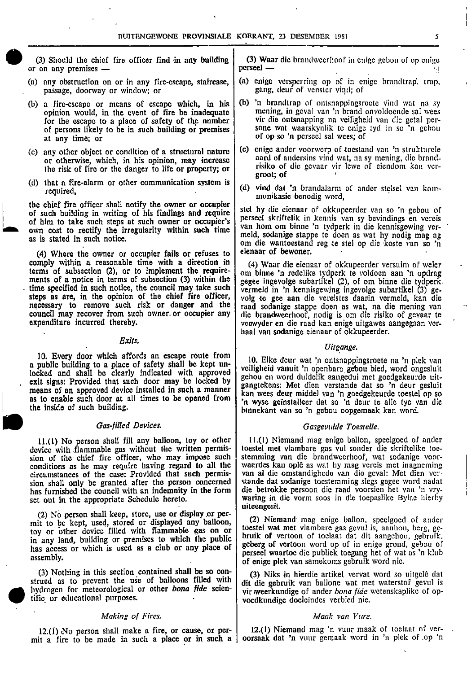-  $\sim$  100  $\pm$  100  $\pm$  100  $\pm$  100  $\pm$  100  $\pm$  100  $\pm$  100  $\pm$  100  $\pm$  100  $\pm$  100  $\pm$  100  $\pm$  100  $\pm$ 

FINITENGEWONE PROVINSIALE KOERANT, 23 DESEMBER 1981<br>
(3) Should the chief fire officer find in any building (3) Waar die brandweerhoof in enige gebou of op enige<br>
perseel — (3) Should the chief fire officer find in any building  $\begin{bmatrix} 3 \end{bmatrix}$  Waar die brandweerhoof in enige gebou of op enige or on any premises —

-

- passage, doorway or window; or
- opinion would, in the event of fire be inadequate for the escape to a place of safety of the number at any time; or **of open** of op so 'n perseel sal wees; of
- the risk of fire or the danger to life or property; or
- (d) that a fire-alarm or other communication system is

the chief fire officer shall notify the owner or occupier<br>of such building in writing of his findings and require of him to take such steps at such owner or occupier's own cost to rectify the irregularity within such time as is stated in such notice.

(4) Where the owner or occupier fails or refuses to comply within a reasonable time with a direction in (4) Waar die eienaar of okkupeerder versuim of weier terms of subsection (2), or to implement the requireterms of subsection (2), or to implement the require-  $\vert$  om binne 'n redelike tydperk te voldoen aan 'n opdrag<br>ments of a notice in terms of subsection (3) within the  $\vert$  genee ingevolge subartikel (2), of om binne die steps as are, in the opinion of the chief fire officer, volg te gee aan die vereistes daarin vermeld, kan die necessary to remove such risk or danger and the raad sodanige stappe doen as wat, na die mening van council may recover from such owner or occupier any die brandweerhoof, nodig is om die risiko of gevaar te council may recover from such owner or occupier any die brandweerhoof, nodig is om die risiko of gevaar te<br>expenditure incurred thereby.

### Exits.

10. Every door which affords an escape route from a public building to a place of safety shall be kept un-locked and shall be clearly indicated with approved exit signs: Provided that such door may be locked by means of an approved device installed in such a manner

device with flammable gas without the written permis- toestel met vlambare gas vul sonder die skriftelike toe-<br>sion of the chief fire officer, who may impose such stemming van die brandweerhoof, wat sodanige voorsion of the chief fire officer, who may impose such stemming van die brandweerhoof, wat sodanige voorconditions as he may require having regard to all the | waardes kan oplê as wat hy mag vereis met inagneming conditions as he may require having regard to all the vaardes kan oplê as wat hy mag vereis met inagneming circumstances of the case: Provided that such permis-<br>sion shall only be granted after the person concerned stande sion shall only be granted after the person concerned has furnished the council with an indemnity in the form set out in the appropriate Schedule hereto.

(2) No person shall keep, store, use or display or per-(2) To person shan keep, store, use or displayed any balloon, (2) Niemand mag enige ballon, speelgoed of ander<br>toy or other device filled with flammable gas on or benefit to the state gas gevul is, aanhou, berg, gein any land, building or premises to which the public has access or which is used as a club or any place of assembly.

(3) Nothing in this section contained shall be so con-<br>strued as to prevent the use of balloons filled with dit die gebruik van ballone wat met waterstof gevul is<br>hydrogen for meteorological or other *bona fide* scien-<br>wi

### Making of Fires. The Community of Section 1, 1999. Mack van Vure.

0

mit a fire to be made in such a place or in such a  $\vert$ 

- (a) any obstruction on or in any fire-escape, staircase,  $\begin{bmatrix} (a) \text{ C} \\ (b) \text{ C} \end{bmatrix}$  enige of in enige brandtrap, trap, passage, doorway or window; or
- (b) a fire-escape or means of escape which, in his  $\vert$  (b) 'n brandtrap of ontsnappingsroete vind wat na sy opinion would, in the event of fire be inadequate mening, in geval van 'n brand onvoldoende sal wees for the escape to a place of safety of the number vir die ontsnapping na veiligheid van die getal per-<br>of persons likely to be in such building or premises sone wat waarskynlik te enige tyd in so 'n gebou sone wat waarskynlik te enige tyd in so 'n gebou
- (c) any other object or condition of <sup>a</sup> structural nature (c) enige ander voorwerp of toestand van 'n strukturele or otherwise, which, in his opinion, may increase aard of andersins vind wat, na sy mening, die brand-<br>the risk of fire or the danger to life or property or risiko of die gevaar vir lewe of eiendom kan vergroat; of
	- required, (d) vind dat 'n brandalarm of ander stelsel van kommunikasie benodig word,

stel hy die eienaar of okkupeerder van so 'n gebou of perseel skriftelik in kennis van sy bevindings en vereis van hom om binne 'n tydperk in die kennis gewing vermeld, sodanige stappe te doen as wat hy nodig mag ag om die wantoestand reg te stel op die koste van so 'n

ments of a notice in terms of subsection (3) within the gegee ingevolge subartikel (2), of om binne die tydperk.<br>time specified in such notice, the council may take such vermeld in 'n kennisgewing ingevolge subartikel (3) vermeld in 'n kennisgewing ingevolge subartikel (3) gevenwyder en die raad kan enige uitgawes aangegaan verhaal van sodanige eienaar of okkupeerder.

### • Uitgange.

10. Elke deur wat 'n ontsnappingsroete na 'n pick van gangtekens: Met dien verstande dat so 'n deur gesluit gehou en word duidelik aangedui met goedgekeurde uitkan wees deur middel van 'n goedgekeurde toestel op so<br>'n wyse geïnstalleer dat so 'n deur te alle tye van die as to enable such door at all times to be opened from  $\begin{bmatrix} x_{11} & x_{12} & x_{13} & x_{14} & x_{15} \end{bmatrix}$  and  $\begin{bmatrix} x_{11} & x_{12} & x_{13} & x_{14} & x_{15} \end{bmatrix}$  and  $\begin{bmatrix} x_{11} & x_{12} & x_{13} & x_{15} \end{bmatrix}$  are geinstalleer dat so 'n deur t the inside of such building.<br>
binnekant van so 'n gebou oopgemaak kan word.<br>
Gas -filled Devices.<br>
Gasgevulde Toestelle.

11.(1) No person shall fill any balloon, toy or other 11.(1) Niemand mag enige ballon, speelgoed of ander die betrokke persoon die raad voorsien het van 'n vry-<br>waring in die vorm soos in die toepaslike Bylae hierby uiteengesit.

> toestel wat met vlambare gas gevul is, aanhou, berg, ge-<br>bruik of vertoon of toelaat dat dit aangehou, gebruik. geberg of vertoon word op of in enige grond, gebou of perseel waartoe die publiek toegang het of wat as 'n klub of enige plek van samekoms gebruik word nie.

hydrogen for meteorological or other *bona fide* scien-<br>tific or educational purposes.<br>wordkundige doeleindes verbied nie. voedkundige doeleindes verbied nie.

12.(1) No person shall make a fire, or cause, or per- 12.(1) Niemand mag 'n vuur maak of toelaat of ver-<br>it a fire to be made in such a place or in such a corsaak dat 'n vuur gemaak word in 'n plek of op 'n

•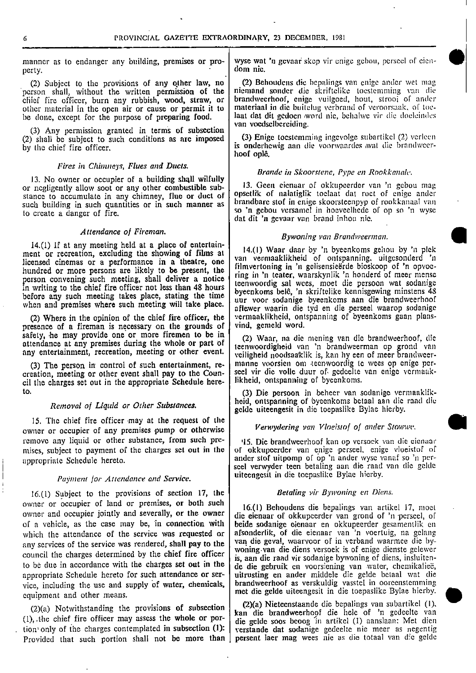perty. dom Tile.

(2) Subject to the provisions of any other law, no (2) Behoudens die bepalings van enige ander wet mag person shall, without the written permission of the niemand sonder die skriftelike to estemming van die person shall, without the written permission of the niemand sonder die skriftelike toestemming van die chief fire officer, burn any rubbish, wood, straw, or brandweerhoof, enige vuilgoed, hout, strooi of ander other material in the open air or cause or permit it to  $\vert$  materiaal in die buitelug verbrand of veroorsaak, of toe-<br>be done, except for the purpose of preparing food. <br>laat dat dit gedoen word nie, behalwe vir die doel be done, except for the purpose of preparing food.

(3) Any permission granted in terms of subsection (2) shall be subject to such conditions as are imposed (3) Enige toestemming ingevolge subartikel (2) verlecn

### Fires in Chimneys, Flues and Ducts.

13. No owner or occupier of a building shall wilfully or negligently allow soot or any other combustible sub-<br>or negligently allow soot or any other combustible sub-<br>stance to accumulate in any chimney flue or duct of opsetlik of nalatiglik toclaat dat roct of enige ander stance to accumulate in any chimney, flue or duct of such building in such quantities or in such manner as to create a danger of fire. <br>so 'n gebou versamel in hoeveelhede of op so 'n wyse

14.(1) If at any meeting held at <sup>a</sup> place of entertainment or recreation, excluding the showing of films at  $\begin{bmatrix} 14.0 \end{bmatrix}$  Waar daar by 'n byeenkoms gehou by 'n plek<br>licensed cinemas or a performance in a theatre, one  $\begin{bmatrix} 14.0 \end{bmatrix}$  van vermaaklikheid of ontspannin ncensed cinemas or a performance in a theatre, one filmvertoning in 'n gelisensieërde bioskoop of 'n opvoe-<br>hundred or more persons are likely to be present, the filmvertoning in 'n teatre was relatively in hondord of more hundred or more persons are likely to be present, the ring in 'n teater, waarskynlik 'n honderd of meer mensc<br>person convening such meeting, shall deliver a notice risenwoordig cal was most die persoon wat sodanige person convening such meeting, shall deliver a notice<br>in writing to the chief fire officer not less than 48 hours<br>before any such meeting takes place, stating the time<br>before any such meeting takes place, stating the time<br>

presence of a fireman is necessary on the grounds of safety, he may provide one or more firemen to be in (2) Waar, na die mening van die brandweerhoof, die attendance at any premises during the whole or part of the nuclear and die mention and the mergerian mention of a city attendance at any premises during the whole or part of any entertainment, recreation, meeting or other event.

cil the charges set out in the appropriate Schedule here-

15. The chief fire officer may at the request of the owner or occupier of any premises pump or otherwise Verwydering van Vloeistof of ander Stowwe. remove any liquid or other substance, from such pre-<br>mises, subject to payment of the charges set out in the of okkupeerder van enige perseel, enige vloeistof of

## Payment for Attendance and Service.

16.(1) Subject to the provisions of section 17, the  $\vert$  Betaling vir Bywoning en Diens. owner or occupier of land or premises, or both such 16.(1) Behoudens die bepalings van artikel 17, moet owner and occupier jointly and severally, or the owner die eienaar of okkupeerder van grond of 'n perseel, of of a vehicle, as the case may be, in connection with beide sodanige eienaar en okkupeerder gesamentlik en of a vehicle, as the case may be, in connection with which the attendance of the service was requested or afsonderlik, of die eienaar van 'n voertuig, na gelang van te byany services of the service was rendered, shall pay to the van die geval, waarvoor of in verband waarmee die bycouncil the charges determined by the chief fire officer council the charges determined by the chief fire officer is, aan die raad vir sodanige bywoning of diens, insluiten-<br>to be due in accordance with the charges set out in the  $\int$  de die gebruik on voorsiening van water che to be due in accordance with the charges set out in the die die gebruik en voorsiening van water, chemikalieë,<br>appropriate Schedule hereto for such attendance or ser-<br>uitrusting en ander middele die gelde betaal wat die appropriate Schedule hereto for such attendance or ser- uitrusting en ander middele die gelde betaal wat die vice, including the use and supply of water, chemicals,<br>
equipment and other means.<br>
(2)(a) Notwithstanding the provisions of subsection<br>
(2)(a) Nieteenstaande die bepalings van subartikel (1).<br>
(2)(a) Nieteenstaande die equipment and other means.

tion only of the charges contemplated in subsection (1): verstande dat sodanige gedeelte nie meer as negentig<br>Provided that such portion shall not be more than persent laer mag wees nie as die totaal van die gelde Provided that such portion shall not be more than |

FROVINCIAL GAZETTE EXTRAORDINARY, 23 DECEMBER, 1981<br>manner as to endanger any building, premises or pro- wyse wat 'n gevaar skcp vir enige gebou, perseel of eien-<br>nerty

•

brandweerhoof, enige vuilgoed, hout, strooi of ander<br>materiaal in die buitelug verbrand of veroorsaak, of toevan voedselbereiding.

by the chief fire officer. is onderliewig aan die voorivaardes neat die brandweerhoof ople.

### Brande in Skoorstene, Pype en Rookkanalc.

brandbare stof in enige skoorsteenpyp of rookkanaal van dat dit 'n gevaar van brand inhou nie.

# Attendance of Fireman. Bywoning van Brandweerman.

before any such meeting takes place, stating the time<br>when and premises where such meeting will take place. aflewer waarin die tyd en die perseel waarop sodanige<br>aflewer waarin die tyd en die perseel waarop sodanige (2) Where in the opinion of the chief fire officer, the vermaaklikheid, ontspanning of byeenkoms gaan plans-<br>resence of a fireman is necessary on the grounds of vind, gemeld word.

veiligheid noodsaaklik is, kan hy een of meer brandweer-(3) The person in control of such entertainment, re-<br>creation, meeting or other event shall pay to the Coun-<br>seel vir die volle duur of gedeelte van enige vermaakseel vir die volle duur of gedeelte van enige vermaak-<br>likheid, ontspanning of byeenkoms.

to. (3) Die persoon in beheer van sodanige vermanklik-Removal of Liquid or Other Substances.<br>Removal of Liquid or Other Substances.<br>Religions is die toomslike Byles hierby gelde uiteengesit in die toepaslike Bylne hierby.

of okkupeerder van enige perseel, enige vloeistof of appropriate Schedule hereto. ander stof uitpomp of op 'n ander wyse vanaf so 'n perscel verwyder teen betaling aan die raad van die gelde uiteengesit in die toepaslike Bylae hierby.

(2)(a) Notwithstanding the provisions of subsection  $\begin{vmatrix} (2)(a) \text{ Nieteen} \text{x} & \text{the probability} \\ \text{tan} \text{ die } \text{brand} \text{ were} \text{ the probability} \end{vmatrix}$  (1), the chief fire officer may assess the whole or pordie gelde soos beoog in artikel (1) aanslaan: Met dien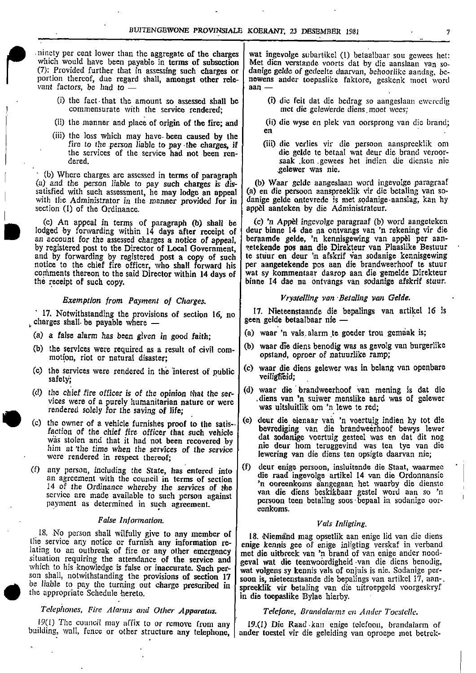ninety per cent lower than the aggregate of the charges wat ingevolge subartikel (1) betaalbaar sou gewees het:<br>which would have been payable in terms of subsection Met dien verstande voorts dat by die aanslaan van sowhich would have been payable in terms of subsection Met dien verstande voorts dat by die aanslaan van so-<br>
(7): Provided further that in assessing such charges or danige gelde of gedeelte daarvan, behoorlike aandag, be-<br> (7): Provided further that in assessing such charges or  $\vert$  danige gelde of gedeelte daarvan, behoorlike aandag, be-(7): Provided further that in assessing such charges or danige gelde of gedeelte daarvan, behoorlike aandag, be-<br>portion thereof, due regard shall, amongst other rele-<br>aan —<br>aan vant factors, be had to

- (i) the fact that the amount so assessed shall be (I) die feit dat die bedrag so aangeslaan eweredig commensurate with the service rendered:  $\left| \begin{array}{c} \text{(i)} \text{ die feit} \text{ dat die bedrag so aangeslaan eweredig} \\ \text{met die gelewerde diens moet wees:} \end{array} \right|$ commensurate with the service rendered;
- 
- (iii) the loss which may have-been caused by the fire to the person liable to pay the charges, if<br>the services of the service had not been ren-

(b) Where charges are assessed in terms of paragraph (a) and the person liable to pay such charges is dis- (b) Waar gelde aangeslaan word ingevolge paragraaf satisfied with such assessment, he may lodge an appeal (a) en die persoon aanspreeklik vir die betaling van sowith the Administrator in the manner provided for in  $\vert$  danige gelde ontevrede is met sodanige aanslag, kan hy section (1) of the Ordinance.

•

by registered post to the Director of Local Government, vetekende pos aan die Direkteur van Plaaslike Bestuur<br>and by forwarding by registered post a copy of such te stuur en deur 'n afskrif van sodanige kennisgewing and by forwarding by registered post a copy of such  $|$  te stuur en deur 'n afskrif van sodanige kennisgewing notice to the chief fire officer, who shall forward his per aangetekende pos aan die brandweerhoof te stuur comments thereon to the said Director within 14 days of wat sy kommentaar daarop aan die gemelde Direkteur the receipt of such copy.

charges shall be payable where  $-$  geen gelde betaalbaar nie  $-$ 

- 
- (b) the services were required as a result of civil com motion, riot or natural disaster;
- veiligheid;<br>safety;
- rendered solely for the saving of life; •
- him at 'the time when the services of the service nie deur hom teruggevind was ten tye van die hom at 'the time when the services of the service ever in the service were rendered in respect thereof:
- an agreement with the council in terms of section 14 of the Ordinance whereby the services of the service are made available to such person against payment as determined in such agreement.

# False Information. The set of the set of the Vals Inligting.

18. No person shall wilfully give to any member of the service any notice or furnish any information re-<br>the service any notice or furnish any information re-<br>lating to an outbreak of fire or any other emergency<br>situation

# Telephones, Fire Alarms and Other Apparatus. Telefone, Brandalarms en Ander Toestelle.

 $19(1)$  The council may affix to or remove from any  $\begin{bmatrix} 19.0 \end{bmatrix}$  Die Raad kan enige telefoon, brandalarm of building, wall, fence or other structure any telephone, ander toestel vir die geleiding van oproepe met be

•

- 
- (ii) the manner and place of origin of the fire; and  $\begin{bmatrix} \text{ii} \\ \text{en} \end{bmatrix}$  die wyse en plek van oorsprong van die brand;
	- (iii) die verlies vir die persoon aanspreeklik om the services of the service had not been ren-<br>dered, and service had not been ren-<br>saak kon gewees het indien die dienste nie saak .kon .gewees het indien die dienste nie gelewer was nie.

appel aanteken by die Administrateur.

(c) An appeal in terms of paragraph (b) shall be (c) 'n Appel ingevolge paragraaf (b) word aangeteken lodged by forwarding within 14 days after receipt of deur binne 14 dae na ontvangs van 'n rekening vir die with the Administrator in the manner provided for in danige gelde ontevrede is met sodanige aanslag, kan hy<br>section (1) of the Ordinance.<br>(c) An appeal in terms of paragraph (b) shall be logical to the Ordinance in terms o an account for the assessed charges a notice of appeal, beraamde gelde, 'n kennisgewing van appel per aan-<br>by registered post to the Director of Local Government, setekende pos aan die Direkteur van Plaaslike Bestuur binne 14 dae na ontvangs van sodanige afskrif stuur.

Exemption from Payment of Charges.<br>For the provisions of section 16 no 17. Nieteenstaande die bepalings van artikel 16 is 17. Notwithstanding the provisions of section 16, no  $\int$  17. Nieteenstaande die bepalings van artikel 16 is

- (a) a false alarm has been given in good faith;  $\vert$  (a) waar 'n vals alarm te goeder trou gemaak is;
	- (b) waar die diens benodig was as gevolg van burgerlike
- (c) the services were rendered in the interest of public  $(c)$  waar die diens gelewer was in belang van openbare
- (d) the chief fire officer is of the opinion that the ser-<br>vices were of a purely humanitarian nature or were<br> $\begin{bmatrix} d \end{bmatrix}$  waar die brandweerhoof van mening is dat die<br>diens van 'n suiwer menslike aard was of gelewer diens van 'n suiwer menslike aard was of gelewer was uitsluitlik om 'n lewe te red;
- (c) the owner of a vehicle furnishes proof to the satis- $\begin{bmatrix} 1 \end{bmatrix}$  deur die eienaar van 'n voertuig indien hy tot die faction of the chief fire officer that such vehicle **between the unit of the chief fire officer** that such vehicle that such vehicle that such vehicle that such vehicle that such vehicle that such as the verture gesteel wa was stolen and that it had not been recovered by a dat sodanige voertuig gesteel was en dat dit nog lewering van die diens ten opsigte daarvan nie;
- (f) any person, including the State, has entered into  $\begin{bmatrix} f \end{bmatrix}$  deur enige persoon, insluitende die Staat, waarmee 'n ooreenkoms aangegaan het waarby die dienste van die diens beskikbaar gestel word aan so 'n persoon teen betaling soos•bepaal in sodanige oor-• eenkoms.

son shall, notwithstanding the provisions of section  $17 \mid$  soon is, nieteenstaande die bepalings van artikel 17, aanbe liable to pay the turning out charge prescribed in spreeklik vir betaling van die uitroepgeld voorgeskryf the appropriate Schedule hereto.